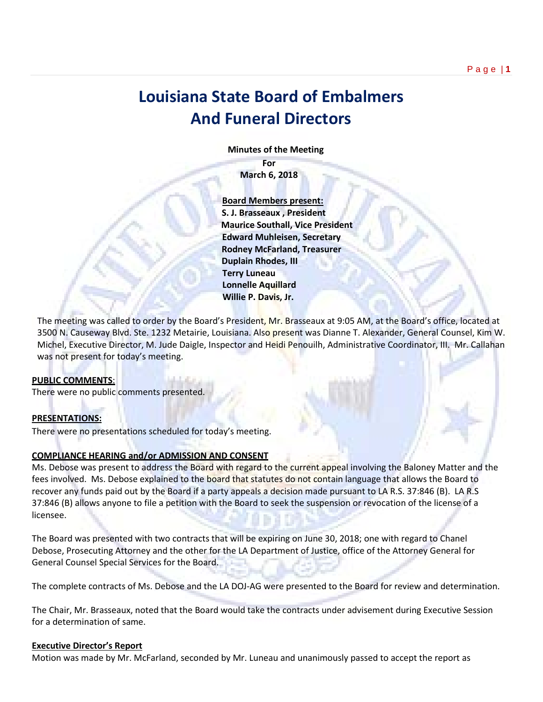# **Louisiana State Board of Embalmers And Funeral Directors**

 **Minutes of the Meeting**

**For March 6, 2018**

 **Board Members present: S. J. Brasseaux , President Maurice Southall, Vice President Edward Muhleisen, Secretary Rodney McFarland, Treasurer Duplain Rhodes, III Terry Luneau Lonnelle Aquillard Willie P. Davis, Jr.** 

The meeting was called to order by the Board's President, Mr. Brasseaux at 9:05 AM, at the Board's office, located at 3500 N. Causeway Blvd. Ste. 1232 Metairie, Louisiana. Also present was Dianne T. Alexander, General Counsel, Kim W. Michel, Executive Director, M. Jude Daigle, Inspector and Heidi Penouilh, Administrative Coordinator, III. Mr. Callahan was not present for today's meeting.

### **PUBLIC COMMENTS**:

There were no public comments presented.

### **PRESENTATIONS:**

There were no presentations scheduled for today's meeting.

# **COMPLIANCE HEARING and/or ADMISSION AND CONSENT**

Ms. Debose was present to address the Board with regard to the current appeal involving the Baloney Matter and the fees involved. Ms. Debose explained to the board that statutes do not contain language that allows the Board to recover any funds paid out by the Board if a party appeals a decision made pursuant to LA R.S. 37:846 (B). LA R.S 37:846 (B) allows anyone to file a petition with the Board to seek the suspension or revocation of the license of a licensee.

The Board was presented with two contracts that will be expiring on June 30, 2018; one with regard to Chanel Debose, Prosecuting Attorney and the other for the LA Department of Justice, office of the Attorney General for General Counsel Special Services for the Board.

The complete contracts of Ms. Debose and the LA DOJ-AG were presented to the Board for review and determination.

The Chair, Mr. Brasseaux, noted that the Board would take the contracts under advisement during Executive Session for a determination of same.

# **Executive Director's Report**

Motion was made by Mr. McFarland, seconded by Mr. Luneau and unanimously passed to accept the report as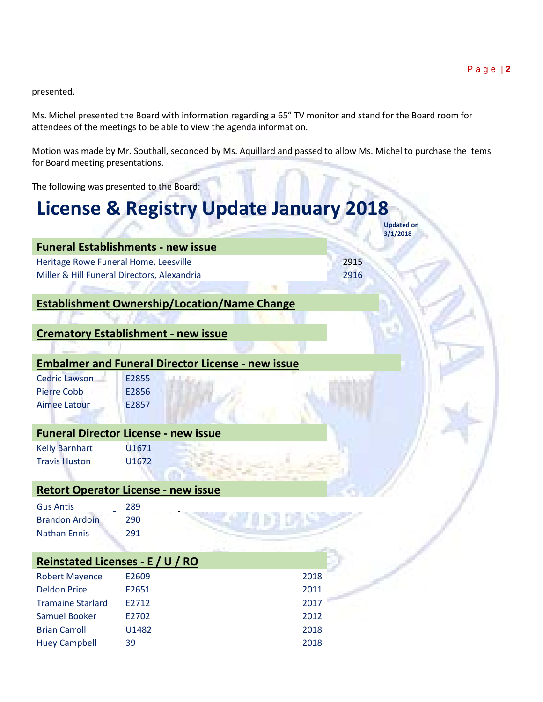presented.

Ms. Michel presented the Board with information regarding a 65" TV monitor and stand for the Board room for attendees of the meetings to be able to view the agenda information.

Motion was made by Mr. Southall, seconded by Ms. Aquillard and passed to allow Ms. Michel to purchase the items for Board meeting presentations.

The following was presented to the Board:

# **License & Registry Update January 2018 Updated on**

|                                             | 3/1/2018 |
|---------------------------------------------|----------|
| <b>Funeral Establishments - new issue</b>   |          |
| Heritage Rowe Funeral Home, Leesville       | 2915     |
| Miller & Hill Funeral Directors, Alexandria | 2916     |
|                                             |          |

# **Establishment Ownership/Location/Name Change**

# **Crematory Establishment - new issue**

# **Embalmer and Funeral Director License - new issue**

| <b>Cedric Lawson</b> | E2855 |
|----------------------|-------|
| Pierre Cobb          | E2856 |
| Aimee Latour         | E2857 |

# **Funeral Director License - new issue**

Kelly Barnhart U1671 Travis Huston U1672

# **Retort Operator License - new issue**

| <b>Gus Antis</b>      | 289 |
|-----------------------|-----|
| <b>Brandon Ardoin</b> | 290 |
| <b>Nathan Ennis</b>   | 291 |

| Reinstated Licenses - E / U / RO |       |      |  |  |  |
|----------------------------------|-------|------|--|--|--|
| <b>Robert Mayence</b>            | E2609 | 2018 |  |  |  |
| <b>Deldon Price</b>              | E2651 | 2011 |  |  |  |
| <b>Tramaine Starlard</b>         | F2712 | 2017 |  |  |  |
| Samuel Booker                    | E2702 | 2012 |  |  |  |
| <b>Brian Carroll</b>             | U1482 | 2018 |  |  |  |
| <b>Huey Campbell</b>             | 39    | 2018 |  |  |  |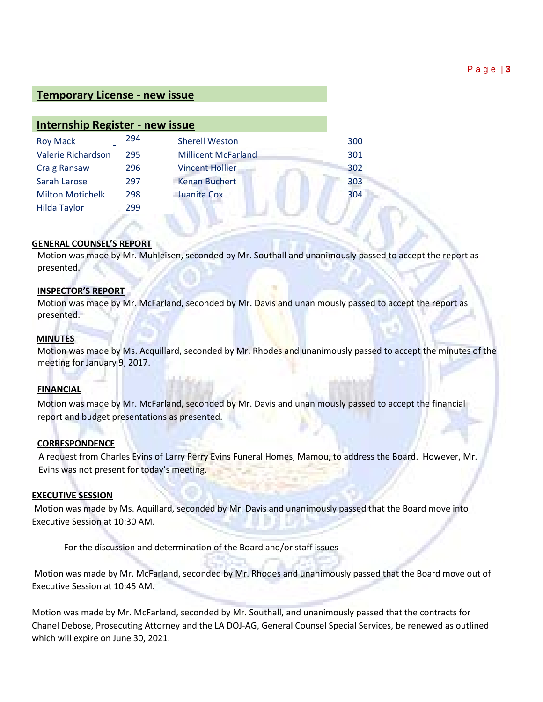# **Temporary License - new issue**

| <b>Internship Register - new issue</b> |     |                            |     |
|----------------------------------------|-----|----------------------------|-----|
| <b>Roy Mack</b>                        | 294 | <b>Sherell Weston</b>      | 300 |
| Valerie Richardson                     | 295 | <b>Millicent McFarland</b> | 301 |
| <b>Craig Ransaw</b>                    | 296 | <b>Vincent Hollier</b>     | 302 |
| Sarah Larose                           | 297 | <b>Kenan Buchert</b>       | 303 |
| <b>Milton Motichelk</b>                | 298 | Juanita Cox                | 304 |
| <b>Hilda Taylor</b>                    | 299 |                            |     |
|                                        |     |                            |     |

### **GENERAL COUNSEL'S REPORT**

Motion was made by Mr. Muhleisen, seconded by Mr. Southall and unanimously passed to accept the report as presented.

### **INSPECTOR'S REPORT**

Motion was made by Mr. McFarland, seconded by Mr. Davis and unanimously passed to accept the report as presented.

### **MINUTES**

Motion was made by Ms. Acquillard, seconded by Mr. Rhodes and unanimously passed to accept the minutes of the meeting for January 9, 2017.

### **FINANCIAL**

Motion was made by Mr. McFarland, seconded by Mr. Davis and unanimously passed to accept the financial report and budget presentations as presented.

### **CORRESPONDENCE**

 A request from Charles Evins of Larry Perry Evins Funeral Homes, Mamou, to address the Board. However, Mr. Evins was not present for today's meeting.

### **EXECUTIVE SESSION**

Motion was made by Ms. Aquillard, seconded by Mr. Davis and unanimously passed that the Board move into Executive Session at 10:30 AM.

For the discussion and determination of the Board and/or staff issues

Motion was made by Mr. McFarland, seconded by Mr. Rhodes and unanimously passed that the Board move out of Executive Session at 10:45 AM.

Motion was made by Mr. McFarland, seconded by Mr. Southall, and unanimously passed that the contracts for Chanel Debose, Prosecuting Attorney and the LA DOJ-AG, General Counsel Special Services, be renewed as outlined which will expire on June 30, 2021.